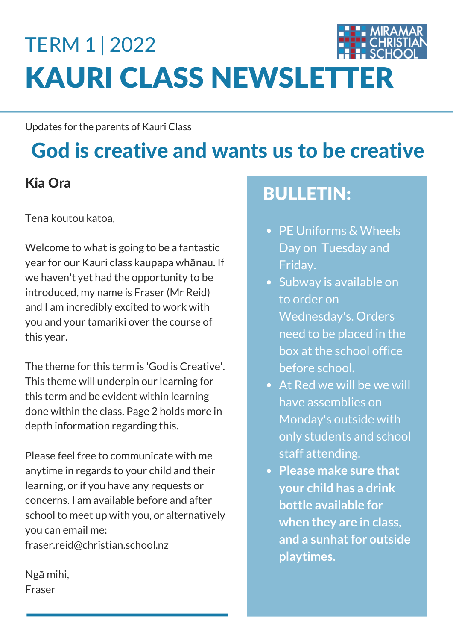# KAURI CLASS NEWSLETTER TERM 1 | 2022

Updates for the parents of Kauri Class

# God is creative and wants us to be creative

#### Kia Ora

Tenā koutou katoa,

Welcome to what is going to be a fantastic year for our Kauri class kaupapa whānau. If we haven't yet had the opportunity to be introduced, my name is Fraser (Mr Reid) and I am incredibly excited to work with you and your tamariki over the course of this year.

The theme for this term is 'God is Creative'. This theme will underpin our learning for this term and be evident within learning done within the class. Page 2 holds more in depth information regarding this.

Please feel free to communicate with me anytime in regards to your child and their learning, or if you have any requests or concerns. I am available before and after school to meet up with you, or alternatively you can email me: fraser.reid@christian.school.nz

Ngā mihi, Fraser

## BULLETIN:

- PE Uniforms & Wheels Day on Tuesday and Friday.
- Subway is available on to order on Wednesday's. Orders need to be placed in the box at the school office before school.
- At Red we will be we will have assemblies on Monday's outside with only students and school staff attending.
- **Please make sure that your child has a drink bottle available for when they are in class, and** a sunhat for outside **playtimes.**